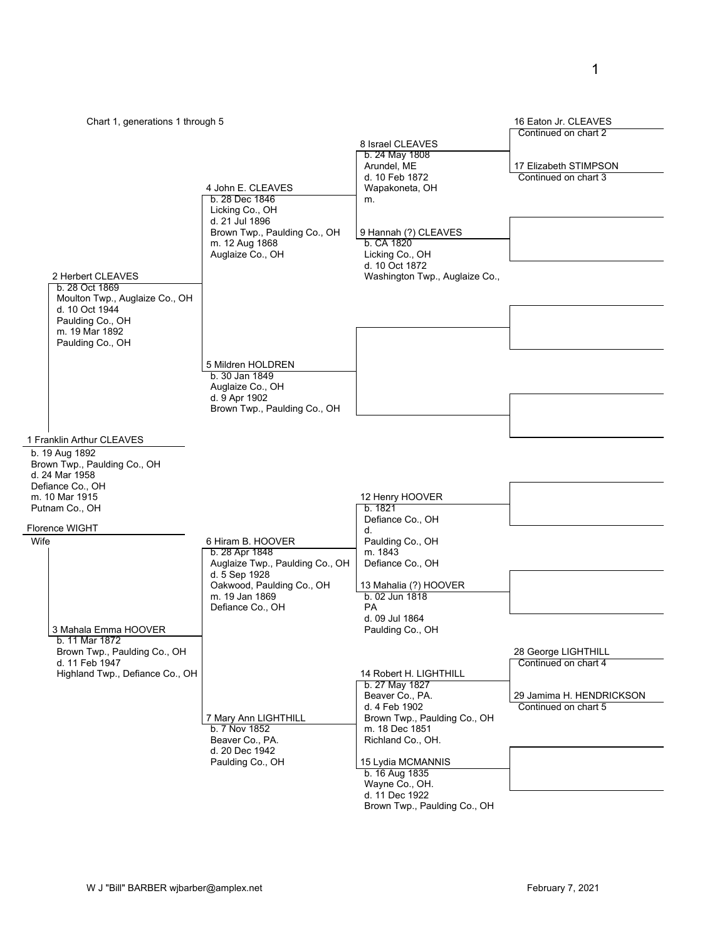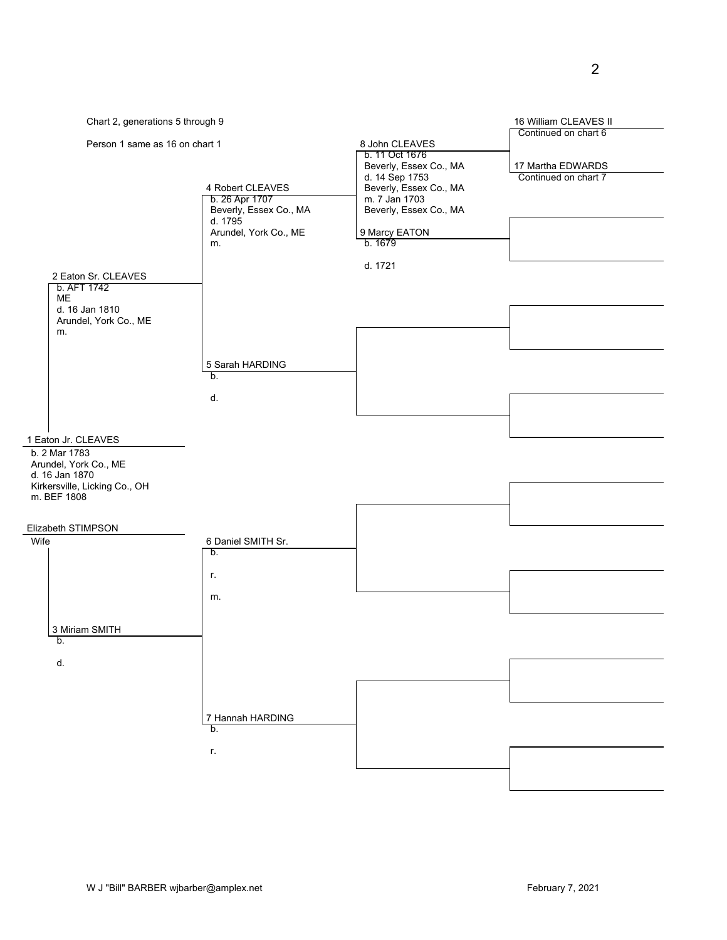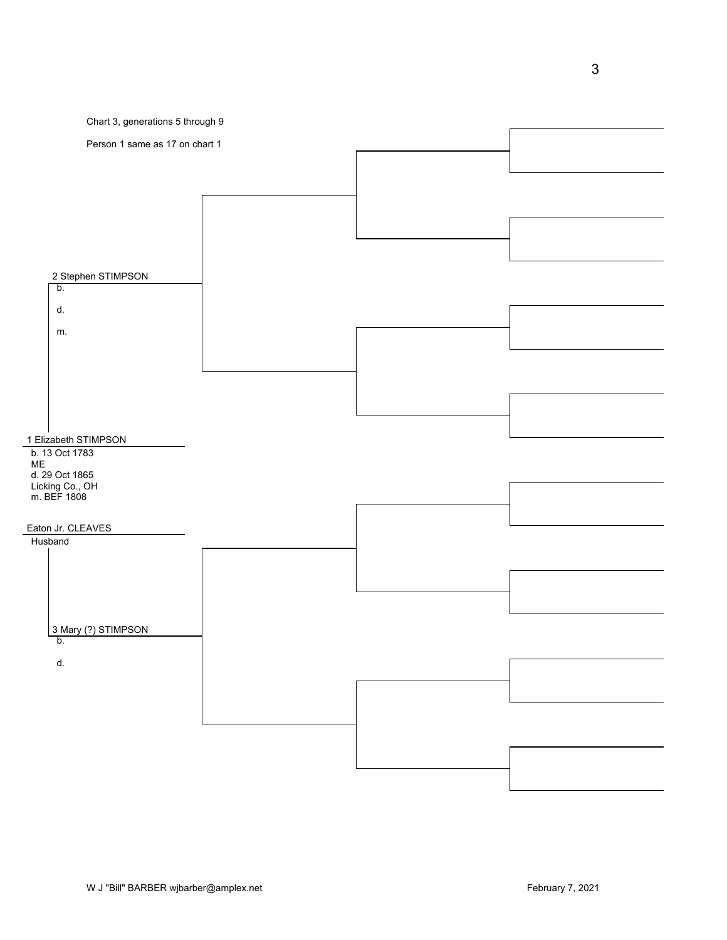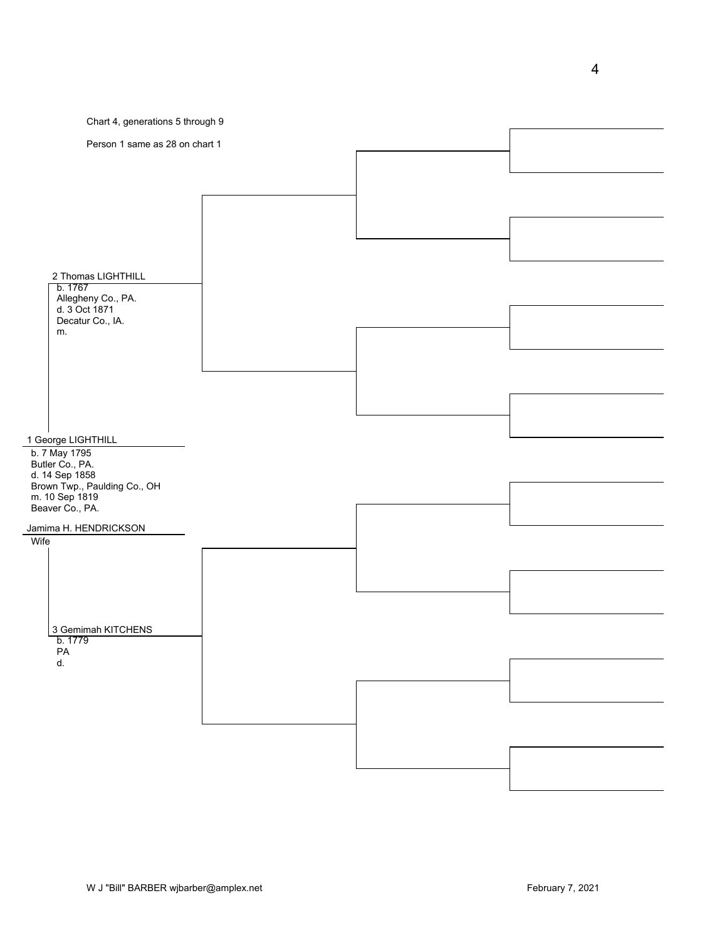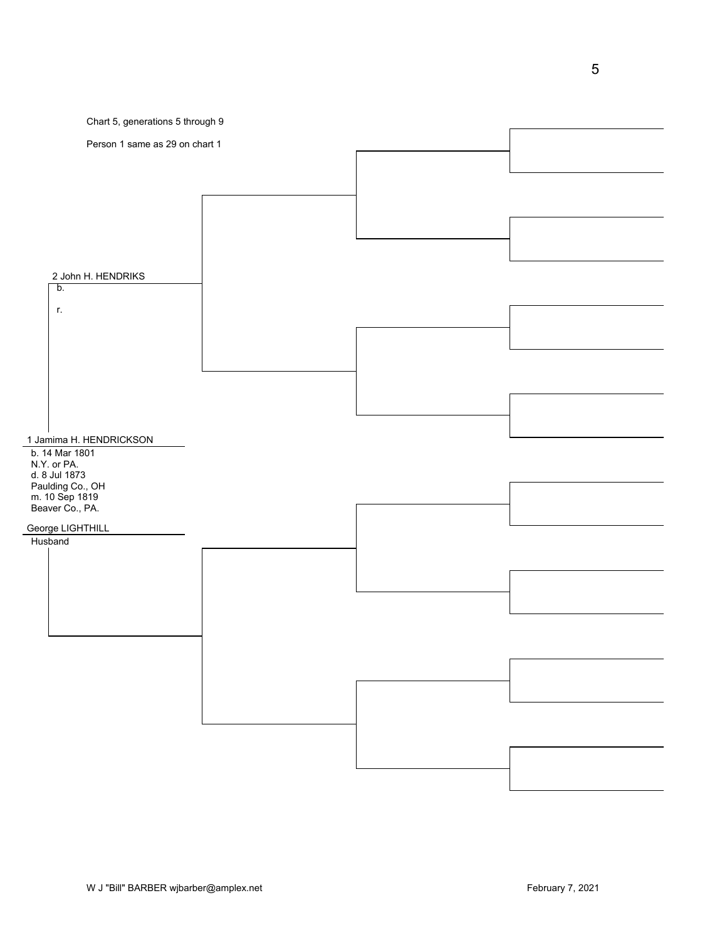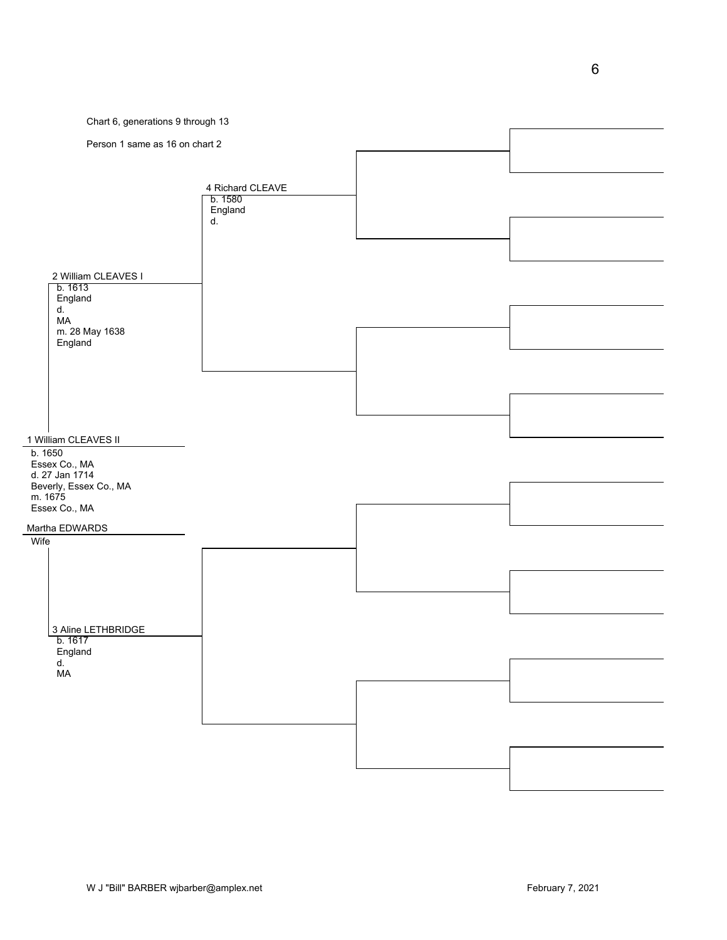